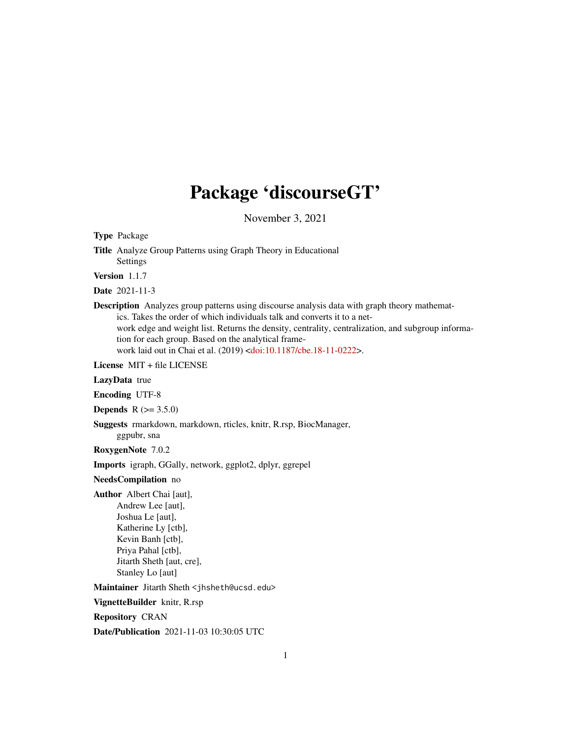## Package 'discourseGT'

November 3, 2021

Type Package Title Analyze Group Patterns using Graph Theory in Educational Settings Version 1.1.7 Date 2021-11-3 Description Analyzes group patterns using discourse analysis data with graph theory mathematics. Takes the order of which individuals talk and converts it to a network edge and weight list. Returns the density, centrality, centralization, and subgroup information for each group. Based on the analytical framework laid out in Chai et al. (2019) [<doi:10.1187/cbe.18-11-0222>](https://doi.org/10.1187/cbe.18-11-0222). License MIT + file LICENSE LazyData true Encoding UTF-8 **Depends**  $R (= 3.5.0)$ Suggests rmarkdown, markdown, rticles, knitr, R.rsp, BiocManager, ggpubr, sna RoxygenNote 7.0.2 Imports igraph, GGally, network, ggplot2, dplyr, ggrepel NeedsCompilation no Author Albert Chai [aut], Andrew Lee [aut], Joshua Le [aut], Katherine Ly [ctb], Kevin Banh [ctb], Priya Pahal [ctb], Jitarth Sheth [aut, cre], Stanley Lo [aut] Maintainer Jitarth Sheth <jhsheth@ucsd.edu> VignetteBuilder knitr, R.rsp Repository CRAN Date/Publication 2021-11-03 10:30:05 UTC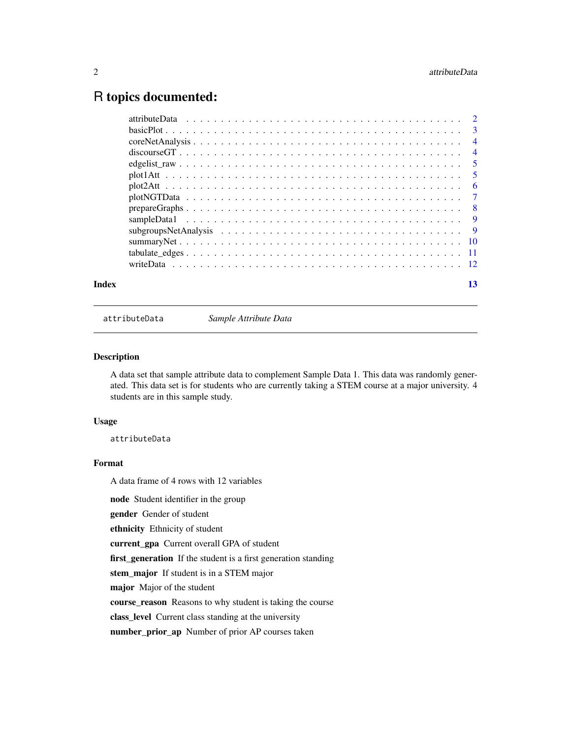### <span id="page-1-0"></span>R topics documented:

| Index | 13 |  |
|-------|----|--|

attributeData *Sample Attribute Data*

#### Description

A data set that sample attribute data to complement Sample Data 1. This data was randomly generated. This data set is for students who are currently taking a STEM course at a major university. 4 students are in this sample study.

#### Usage

attributeData

#### Format

A data frame of 4 rows with 12 variables

node Student identifier in the group

gender Gender of student

ethnicity Ethnicity of student

current\_gpa Current overall GPA of student

first\_generation If the student is a first generation standing

stem\_major If student is in a STEM major

major Major of the student

course\_reason Reasons to why student is taking the course

class\_level Current class standing at the university

number\_prior\_ap Number of prior AP courses taken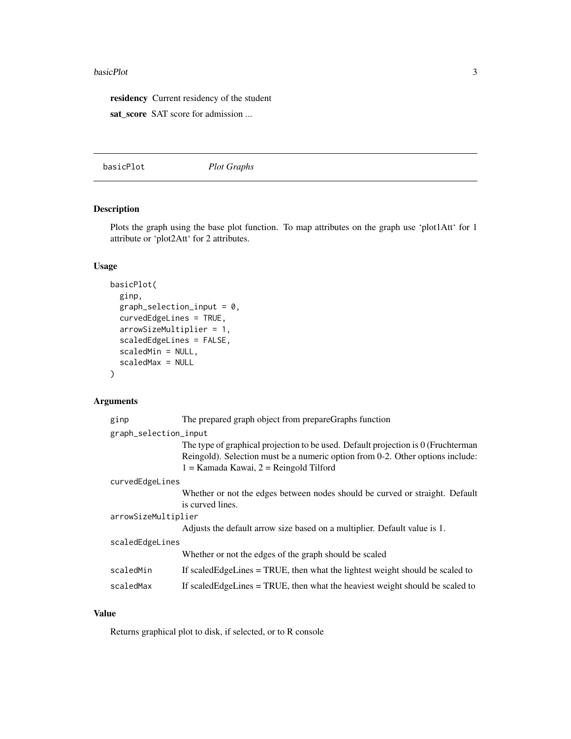#### <span id="page-2-0"></span>basicPlot 3

residency Current residency of the student

sat\_score SAT score for admission ...

basicPlot *Plot Graphs*

#### Description

Plots the graph using the base plot function. To map attributes on the graph use 'plot1Att' for 1 attribute or 'plot2Att' for 2 attributes.

#### Usage

```
basicPlot(
  ginp,
  graph\_selection\_input = 0,curvedEdgeLines = TRUE,
  arrowSizeMultiplier = 1,
  scaledEdgeLines = FALSE,
  scaledMin = NULL,
  scaledMax = NULL
\mathcal{L}
```
#### Arguments

| ginp                  | The prepared graph object from prepareGraphs function                                                                                                                                                             |  |
|-----------------------|-------------------------------------------------------------------------------------------------------------------------------------------------------------------------------------------------------------------|--|
| graph_selection_input |                                                                                                                                                                                                                   |  |
|                       | The type of graphical projection to be used. Default projection is 0 (Fruchterman<br>Reingold). Selection must be a numeric option from 0-2. Other options include:<br>$1 =$ Kamada Kawai, $2 =$ Reingold Tilford |  |
| curvedEdgeLines       |                                                                                                                                                                                                                   |  |
|                       | Whether or not the edges between nodes should be curved or straight. Default<br>is curved lines.                                                                                                                  |  |
| arrowSizeMultiplier   |                                                                                                                                                                                                                   |  |
|                       | Adjusts the default arrow size based on a multiplier. Default value is 1.                                                                                                                                         |  |
| scaledEdgeLines       |                                                                                                                                                                                                                   |  |
|                       | Whether or not the edges of the graph should be scaled                                                                                                                                                            |  |
| scaledMin             | If scaledEdgeLines = TRUE, then what the lightest weight should be scaled to                                                                                                                                      |  |
| scaledMax             | If scaledEdgeLines = TRUE, then what the heaviest weight should be scaled to                                                                                                                                      |  |

#### Value

Returns graphical plot to disk, if selected, or to R console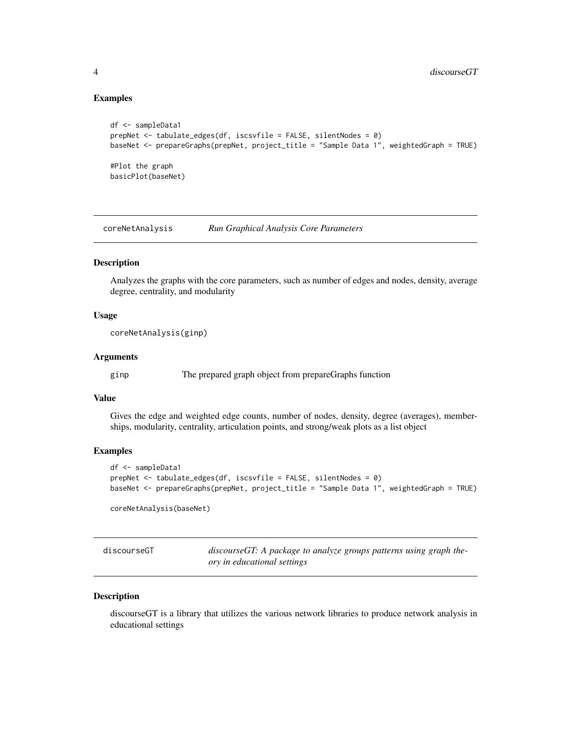#### Examples

```
df <- sampleData1
prepNet <- tabulate_edges(df, iscsvfile = FALSE, silentNodes = 0)
baseNet <- prepareGraphs(prepNet, project_title = "Sample Data 1", weightedGraph = TRUE)
#Plot the graph
basicPlot(baseNet)
```
coreNetAnalysis *Run Graphical Analysis Core Parameters*

#### **Description**

Analyzes the graphs with the core parameters, such as number of edges and nodes, density, average degree, centrality, and modularity

#### Usage

```
coreNetAnalysis(ginp)
```
#### Arguments

ginp The prepared graph object from prepareGraphs function

#### Value

Gives the edge and weighted edge counts, number of nodes, density, degree (averages), memberships, modularity, centrality, articulation points, and strong/weak plots as a list object

#### Examples

```
df <- sampleData1
prepNet <- tabulate_edges(df, iscsvfile = FALSE, silentNodes = 0)
baseNet <- prepareGraphs(prepNet, project_title = "Sample Data 1", weightedGraph = TRUE)
```
coreNetAnalysis(baseNet)

| discourseGT |  |
|-------------|--|
|-------------|--|

discourseGT: A package to analyze groups patterns using graph the*ory in educational settings*

#### Description

discourseGT is a library that utilizes the various network libraries to produce network analysis in educational settings

<span id="page-3-0"></span>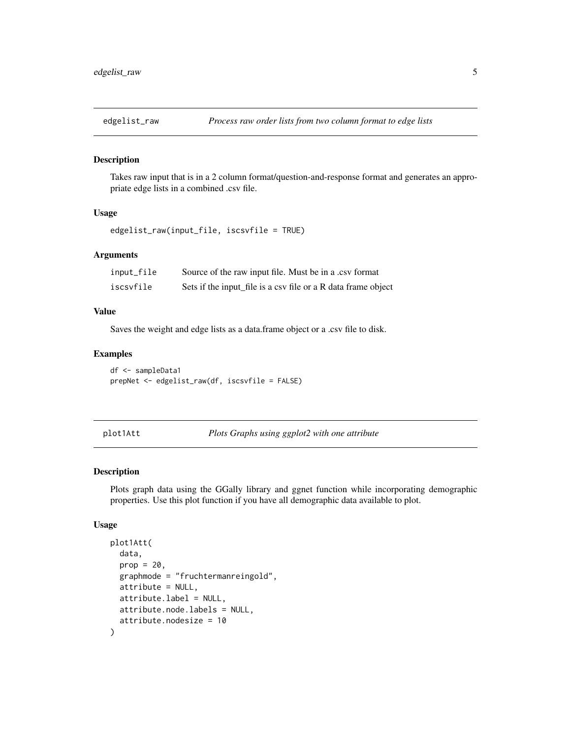<span id="page-4-0"></span>

#### Description

Takes raw input that is in a 2 column format/question-and-response format and generates an appropriate edge lists in a combined .csv file.

#### Usage

```
edgelist_raw(input_file, iscsvfile = TRUE)
```
#### Arguments

| input_file | Source of the raw input file. Must be in a .csv format        |
|------------|---------------------------------------------------------------|
| iscsvfile  | Sets if the input file is a csy file or a R data frame object |

#### Value

Saves the weight and edge lists as a data.frame object or a .csv file to disk.

#### Examples

df <- sampleData1 prepNet <- edgelist\_raw(df, iscsvfile = FALSE)

plot1Att *Plots Graphs using ggplot2 with one attribute*

#### Description

Plots graph data using the GGally library and ggnet function while incorporating demographic properties. Use this plot function if you have all demographic data available to plot.

#### Usage

```
plot1Att(
  data,
  prop = 20,graphmode = "fruchtermanreingold",
  attribute = NULL,
  attribute.label = NULL,
  attribute.node.labels = NULL,
  attribute.nodesize = 10
)
```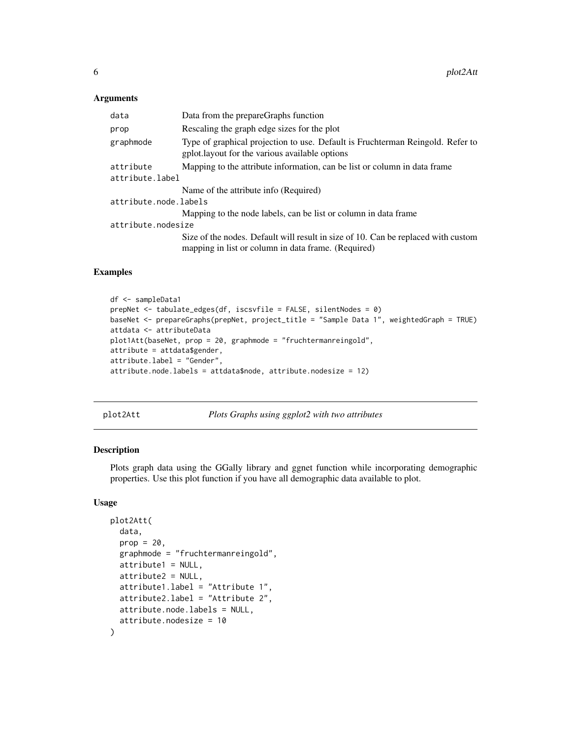#### <span id="page-5-0"></span>Arguments

| data                  | Data from the prepareGraphs function                                                                                                     |  |
|-----------------------|------------------------------------------------------------------------------------------------------------------------------------------|--|
| prop                  | Rescaling the graph edge sizes for the plot                                                                                              |  |
| graphmode             | Type of graphical projection to use. Default is Fruchterman Reingold. Refer to<br>gplot.layout for the various available options         |  |
| attribute             | Mapping to the attribute information, can be list or column in data frame                                                                |  |
| attribute.label       |                                                                                                                                          |  |
|                       | Name of the attribute info (Required)                                                                                                    |  |
| attribute.node.labels |                                                                                                                                          |  |
|                       | Mapping to the node labels, can be list or column in data frame                                                                          |  |
| attribute.nodesize    |                                                                                                                                          |  |
|                       | Size of the nodes. Default will result in size of 10. Can be replaced with custom<br>mapping in list or column in data frame. (Required) |  |

#### Examples

```
df <- sampleData1
prepNet <- tabulate_edges(df, iscsvfile = FALSE, silentNodes = 0)
baseNet <- prepareGraphs(prepNet, project_title = "Sample Data 1", weightedGraph = TRUE)
attdata <- attributeData
plot1Att(baseNet, prop = 20, graphmode = "fruchtermanreingold",
attribute = attdata$gender,
attribute.label = "Gender",
attribute.node.labels = attdata$node, attribute.nodesize = 12)
```
plot2Att *Plots Graphs using ggplot2 with two attributes*

#### Description

Plots graph data using the GGally library and ggnet function while incorporating demographic properties. Use this plot function if you have all demographic data available to plot.

#### Usage

```
plot2Att(
  data,
  prop = 20,graphmode = "fruchtermanreingold",
  attribute1 = NULL,
  attribute2 = NULL,
  attribute1.label = "Attribute 1",
  attribute2.label = "Attribute 2",
  attribute.node.labels = NULL,
  attribute.nodesize = 10
)
```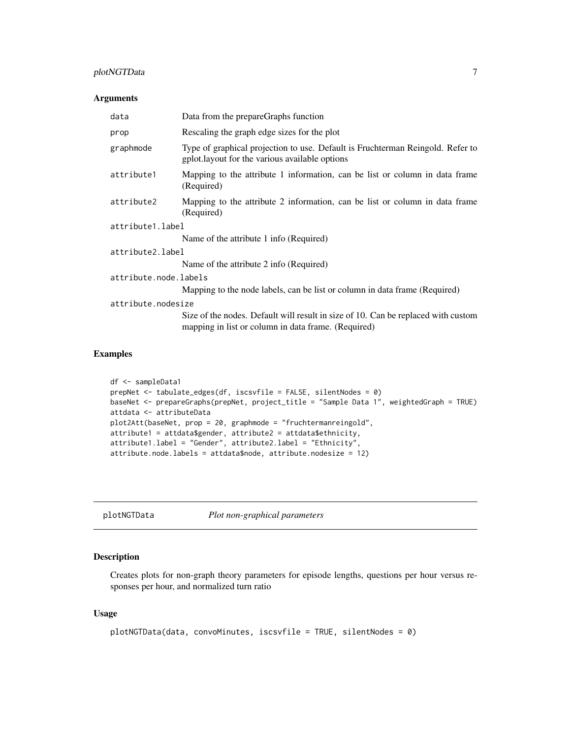#### <span id="page-6-0"></span>plotNGTData 7

#### Arguments

| data                  | Data from the prepareGraphs function                                                                                                     |  |
|-----------------------|------------------------------------------------------------------------------------------------------------------------------------------|--|
| prop                  | Rescaling the graph edge sizes for the plot                                                                                              |  |
| graphmode             | Type of graphical projection to use. Default is Fruchterman Reingold. Refer to<br>eplot. All for the various available options           |  |
| attribute1            | Mapping to the attribute 1 information, can be list or column in data frame<br>(Required)                                                |  |
| attribute2            | Mapping to the attribute 2 information, can be list or column in data frame<br>(Required)                                                |  |
| attribute1.label      |                                                                                                                                          |  |
|                       | Name of the attribute 1 info (Required)                                                                                                  |  |
| attribute2.label      |                                                                                                                                          |  |
|                       | Name of the attribute 2 info (Required)                                                                                                  |  |
| attribute.node.labels |                                                                                                                                          |  |
|                       | Mapping to the node labels, can be list or column in data frame (Required)                                                               |  |
| attribute.nodesize    |                                                                                                                                          |  |
|                       | Size of the nodes. Default will result in size of 10. Can be replaced with custom<br>mapping in list or column in data frame. (Required) |  |

#### Examples

```
df <- sampleData1
prepNet <- tabulate_edges(df, iscsvfile = FALSE, silentNodes = 0)
baseNet <- prepareGraphs(prepNet, project_title = "Sample Data 1", weightedGraph = TRUE)
attdata <- attributeData
plot2Att(baseNet, prop = 20, graphmode = "fruchtermanreingold",
attribute1 = attdata$gender, attribute2 = attdata$ethnicity,
attribute1.label = "Gender", attribute2.label = "Ethnicity",
attribute.node.labels = attdata$node, attribute.nodesize = 12)
```
plotNGTData *Plot non-graphical parameters*

#### Description

Creates plots for non-graph theory parameters for episode lengths, questions per hour versus responses per hour, and normalized turn ratio

#### Usage

```
plotNGTData(data, convoMinutes, iscsvfile = TRUE, silentNodes = 0)
```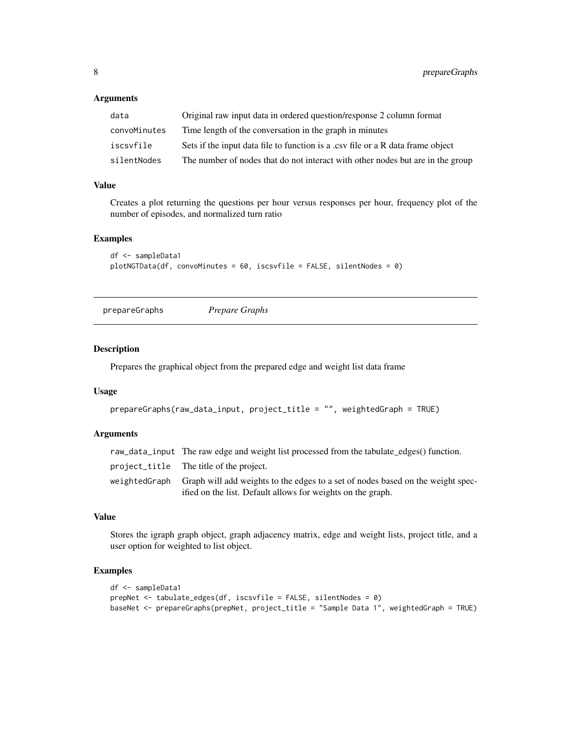#### <span id="page-7-0"></span>Arguments

| data         | Original raw input data in ordered question/response 2 column format            |
|--------------|---------------------------------------------------------------------------------|
| convoMinutes | Time length of the conversation in the graph in minutes                         |
| iscsvfile    | Sets if the input data file to function is a .csv file or a R data frame object |
| silentNodes  | The number of nodes that do not interact with other nodes but are in the group  |

#### Value

Creates a plot returning the questions per hour versus responses per hour, frequency plot of the number of episodes, and normalized turn ratio

#### Examples

```
df <- sampleData1
plotNGTData(df, convoMinutes = 60, iscsvfile = FALSE, silentNodes = 0)
```
prepareGraphs *Prepare Graphs*

#### Description

Prepares the graphical object from the prepared edge and weight list data frame

#### Usage

```
prepareGraphs(raw_data_input, project_title = "", weightedGraph = TRUE)
```
#### Arguments

| raw_data_input The raw edge and weight list processed from the tabulate edges() function.      |
|------------------------------------------------------------------------------------------------|
| project_title The title of the project.                                                        |
| weighted Graph Graph will add weights to the edges to a set of nodes based on the weight spec- |
| ified on the list. Default allows for weights on the graph.                                    |

#### Value

Stores the igraph graph object, graph adjacency matrix, edge and weight lists, project title, and a user option for weighted to list object.

#### Examples

```
df <- sampleData1
prepNet <- tabulate_edges(df, iscsvfile = FALSE, silentNodes = 0)
baseNet <- prepareGraphs(prepNet, project_title = "Sample Data 1", weightedGraph = TRUE)
```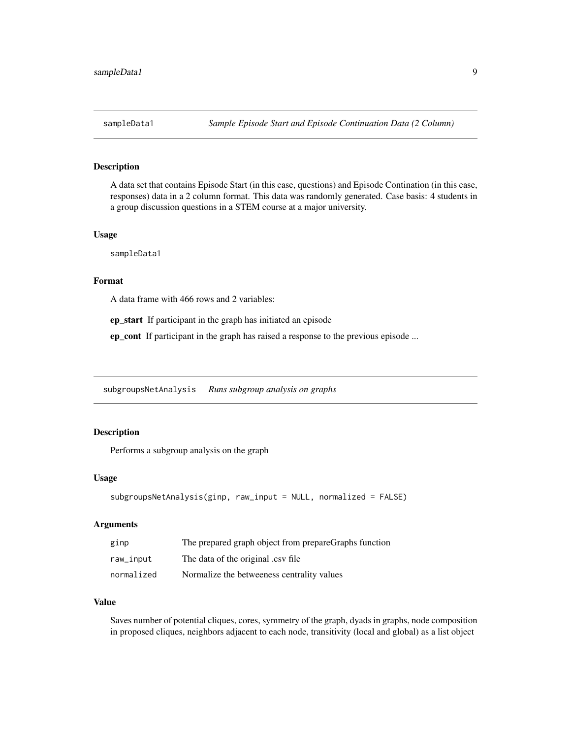<span id="page-8-0"></span>

#### Description

A data set that contains Episode Start (in this case, questions) and Episode Contination (in this case, responses) data in a 2 column format. This data was randomly generated. Case basis: 4 students in a group discussion questions in a STEM course at a major university.

#### Usage

sampleData1

#### Format

A data frame with 466 rows and 2 variables:

ep\_start If participant in the graph has initiated an episode

ep\_cont If participant in the graph has raised a response to the previous episode ...

subgroupsNetAnalysis *Runs subgroup analysis on graphs*

#### Description

Performs a subgroup analysis on the graph

#### Usage

```
subgroupsNetAnalysis(ginp, raw_input = NULL, normalized = FALSE)
```
#### Arguments

| ginp       | The prepared graph object from prepareGraphs function |
|------------|-------------------------------------------------------|
| raw_input  | The data of the original .csv file                    |
| normalized | Normalize the betweeness centrality values            |

#### Value

Saves number of potential cliques, cores, symmetry of the graph, dyads in graphs, node composition in proposed cliques, neighbors adjacent to each node, transitivity (local and global) as a list object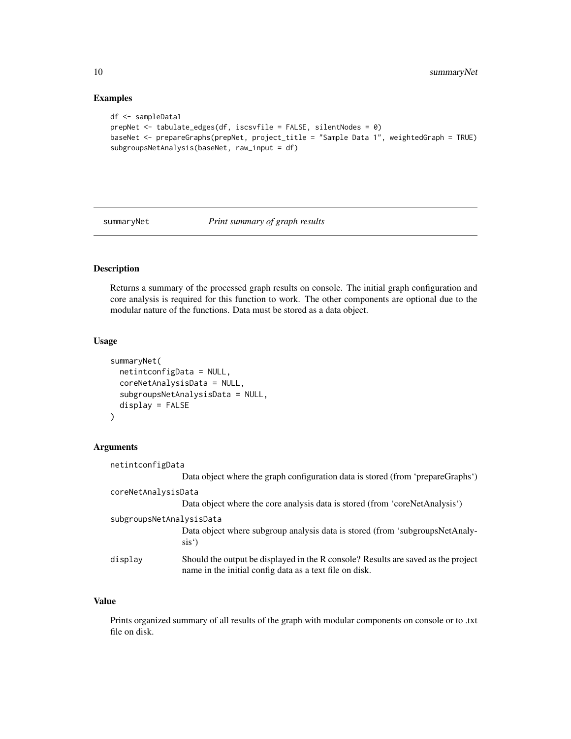#### Examples

```
df <- sampleData1
prepNet <- tabulate_edges(df, iscsvfile = FALSE, silentNodes = 0)
baseNet <- prepareGraphs(prepNet, project_title = "Sample Data 1", weightedGraph = TRUE)
subgroupsNetAnalysis(baseNet, raw_input = df)
```
#### summaryNet *Print summary of graph results*

#### Description

Returns a summary of the processed graph results on console. The initial graph configuration and core analysis is required for this function to work. The other components are optional due to the modular nature of the functions. Data must be stored as a data object.

#### Usage

```
summaryNet(
 netintconfigData = NULL,
  coreNetAnalysisData = NULL,
  subgroupsNetAnalysisData = NULL,
  display = FALSE
)
```
#### Arguments

| netintconfigData         |                                                                                                                                              |
|--------------------------|----------------------------------------------------------------------------------------------------------------------------------------------|
|                          | Data object where the graph configuration data is stored (from 'prepareGraphs')                                                              |
| coreNetAnalysisData      |                                                                                                                                              |
|                          | Data object where the core analysis data is stored (from 'coreNetAnalysis')                                                                  |
| subgroupsNetAnalysisData |                                                                                                                                              |
|                          | Data object where subgroup analysis data is stored (from 'subgroupsNetAnaly-<br>sis <sup>1</sup>                                             |
| display                  | Should the output be displayed in the R console? Results are saved as the project<br>name in the initial config data as a text file on disk. |

#### Value

Prints organized summary of all results of the graph with modular components on console or to .txt file on disk.

<span id="page-9-0"></span>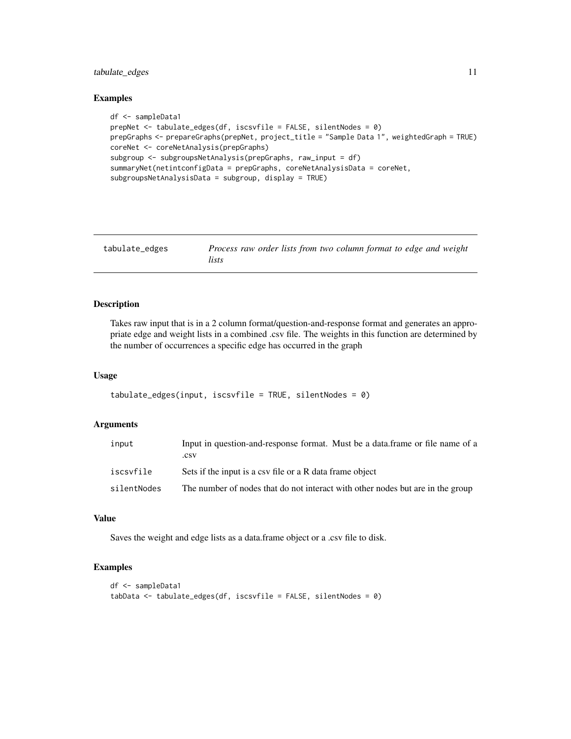#### <span id="page-10-0"></span>tabulate\_edges 11

#### Examples

```
df <- sampleData1
prepNet <- tabulate_edges(df, iscsvfile = FALSE, silentNodes = 0)
prepGraphs <- prepareGraphs(prepNet, project_title = "Sample Data 1", weightedGraph = TRUE)
coreNet <- coreNetAnalysis(prepGraphs)
subgroup <- subgroupsNetAnalysis(prepGraphs, raw_input = df)
summaryNet(netintconfigData = prepGraphs, coreNetAnalysisData = coreNet,
subgroupsNetAnalysisData = subgroup, display = TRUE)
```

| tabulate_edges |  |
|----------------|--|
|----------------|--|

Process raw order lists from two column format to edge and weight *lists*

#### Description

Takes raw input that is in a 2 column format/question-and-response format and generates an appropriate edge and weight lists in a combined .csv file. The weights in this function are determined by the number of occurrences a specific edge has occurred in the graph

#### Usage

```
tabulate_edges(input, iscsvfile = TRUE, silentNodes = 0)
```
#### Arguments

| input       | Input in question-and-response format. Must be a data frame or file name of a<br>.csv |
|-------------|---------------------------------------------------------------------------------------|
| iscsvfile   | Sets if the input is a csy file or a R data frame object                              |
| silentNodes | The number of nodes that do not interact with other nodes but are in the group        |

#### Value

Saves the weight and edge lists as a data.frame object or a .csv file to disk.

#### Examples

```
df <- sampleData1
tabData <- tabulate_edges(df, iscsvfile = FALSE, silentNodes = 0)
```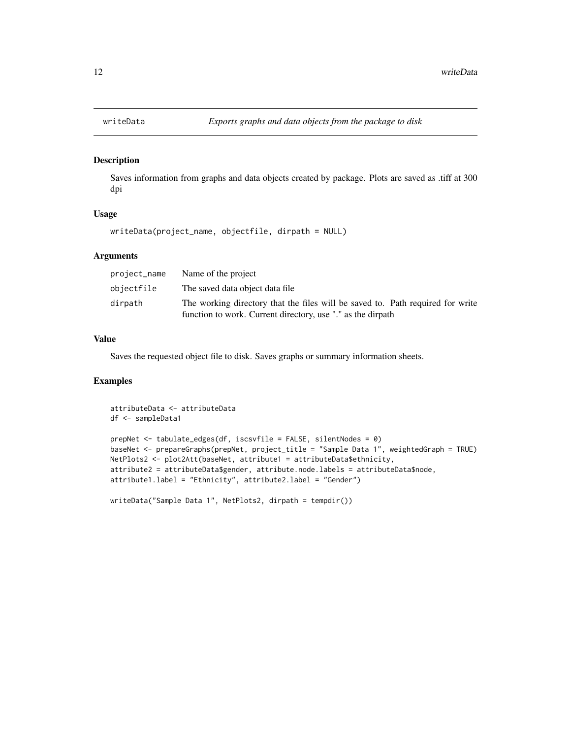<span id="page-11-0"></span>

#### Description

Saves information from graphs and data objects created by package. Plots are saved as .tiff at 300 dpi

#### Usage

writeData(project\_name, objectfile, dirpath = NULL)

#### Arguments

| project_name | Name of the project                                                                                                                           |
|--------------|-----------------------------------------------------------------------------------------------------------------------------------------------|
| objectfile   | The saved data object data file.                                                                                                              |
| dirpath      | The working directory that the files will be saved to. Path required for write<br>function to work. Current directory, use "." as the dirpath |
|              |                                                                                                                                               |

#### Value

Saves the requested object file to disk. Saves graphs or summary information sheets.

#### Examples

```
attributeData <- attributeData
df <- sampleData1
prepNet <- tabulate_edges(df, iscsvfile = FALSE, silentNodes = 0)
baseNet <- prepareGraphs(prepNet, project_title = "Sample Data 1", weightedGraph = TRUE)
NetPlots2 <- plot2Att(baseNet, attribute1 = attributeData$ethnicity,
attribute2 = attributeData$gender, attribute.node.labels = attributeData$node,
attribute1.label = "Ethnicity", attribute2.label = "Gender")
writeData("Sample Data 1", NetPlots2, dirpath = tempdir())
```